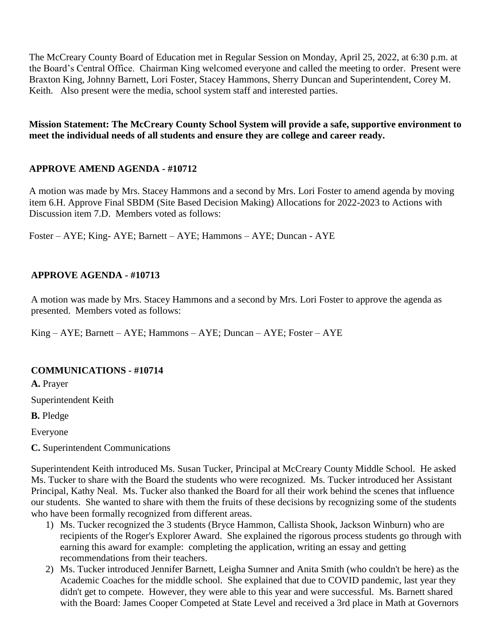The McCreary County Board of Education met in Regular Session on Monday, April 25, 2022, at 6:30 p.m. at the Board's Central Office. Chairman King welcomed everyone and called the meeting to order. Present were Braxton King, Johnny Barnett, Lori Foster, Stacey Hammons, Sherry Duncan and Superintendent, Corey M. Keith. Also present were the media, school system staff and interested parties.

**Mission Statement: The McCreary County School System will provide a safe, supportive environment to meet the individual needs of all students and ensure they are college and career ready.**

# **APPROVE AMEND AGENDA - #10712**

A motion was made by Mrs. Stacey Hammons and a second by Mrs. Lori Foster to amend agenda by moving item 6.H. Approve Final SBDM (Site Based Decision Making) Allocations for 2022-2023 to Actions with Discussion item 7.D. Members voted as follows:

Foster – AYE; King- AYE; Barnett – AYE; Hammons – AYE; Duncan - AYE

## **APPROVE AGENDA - #10713**

A motion was made by Mrs. Stacey Hammons and a second by Mrs. Lori Foster to approve the agenda as presented. Members voted as follows:

King – AYE; Barnett – AYE; Hammons – AYE; Duncan – AYE; Foster – AYE

## **COMMUNICATIONS - #10714**

**A.** Prayer

Superintendent Keith

**B.** Pledge

Everyone

**C.** Superintendent Communications

Superintendent Keith introduced Ms. Susan Tucker, Principal at McCreary County Middle School. He asked Ms. Tucker to share with the Board the students who were recognized. Ms. Tucker introduced her Assistant Principal, Kathy Neal. Ms. Tucker also thanked the Board for all their work behind the scenes that influence our students. She wanted to share with them the fruits of these decisions by recognizing some of the students who have been formally recognized from different areas.

- 1) Ms. Tucker recognized the 3 students (Bryce Hammon, Callista Shook, Jackson Winburn) who are recipients of the Roger's Explorer Award. She explained the rigorous process students go through with earning this award for example: completing the application, writing an essay and getting recommendations from their teachers.
- 2) Ms. Tucker introduced Jennifer Barnett, Leigha Sumner and Anita Smith (who couldn't be here) as the Academic Coaches for the middle school. She explained that due to COVID pandemic, last year they didn't get to compete. However, they were able to this year and were successful. Ms. Barnett shared with the Board: James Cooper Competed at State Level and received a 3rd place in Math at Governors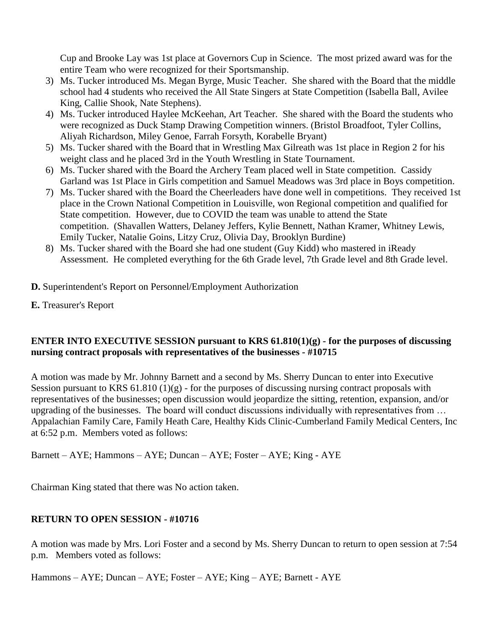Cup and Brooke Lay was 1st place at Governors Cup in Science. The most prized award was for the entire Team who were recognized for their Sportsmanship.

- 3) Ms. Tucker introduced Ms. Megan Byrge, Music Teacher. She shared with the Board that the middle school had 4 students who received the All State Singers at State Competition (Isabella Ball, Avilee King, Callie Shook, Nate Stephens).
- 4) Ms. Tucker introduced Haylee McKeehan, Art Teacher. She shared with the Board the students who were recognized as Duck Stamp Drawing Competition winners. (Bristol Broadfoot, Tyler Collins, Aliyah Richardson, Miley Genoe, Farrah Forsyth, Korabelle Bryant)
- 5) Ms. Tucker shared with the Board that in Wrestling Max Gilreath was 1st place in Region 2 for his weight class and he placed 3rd in the Youth Wrestling in State Tournament.
- 6) Ms. Tucker shared with the Board the Archery Team placed well in State competition. Cassidy Garland was 1st Place in Girls competition and Samuel Meadows was 3rd place in Boys competition.
- 7) Ms. Tucker shared with the Board the Cheerleaders have done well in competitions. They received 1st place in the Crown National Competition in Louisville, won Regional competition and qualified for State competition. However, due to COVID the team was unable to attend the State competition. (Shavallen Watters, Delaney Jeffers, Kylie Bennett, Nathan Kramer, Whitney Lewis, Emily Tucker, Natalie Goins, Litzy Cruz, Olivia Day, Brooklyn Burdine)
- 8) Ms. Tucker shared with the Board she had one student (Guy Kidd) who mastered in iReady Assessment. He completed everything for the 6th Grade level, 7th Grade level and 8th Grade level.
- **D.** Superintendent's Report on Personnel/Employment Authorization
- **E.** Treasurer's Report

# **ENTER INTO EXECUTIVE SESSION pursuant to KRS 61.810(1)(g) - for the purposes of discussing nursing contract proposals with representatives of the businesses - #10715**

A motion was made by Mr. Johnny Barnett and a second by Ms. Sherry Duncan to enter into Executive Session pursuant to KRS  $61.810(1)(g)$  - for the purposes of discussing nursing contract proposals with representatives of the businesses; open discussion would jeopardize the sitting, retention, expansion, and/or upgrading of the businesses. The board will conduct discussions individually with representatives from … Appalachian Family Care, Family Heath Care, Healthy Kids Clinic-Cumberland Family Medical Centers, Inc at 6:52 p.m. Members voted as follows:

Barnett – AYE; Hammons – AYE; Duncan – AYE; Foster – AYE; King - AYE

Chairman King stated that there was No action taken.

# **RETURN TO OPEN SESSION - #10716**

A motion was made by Mrs. Lori Foster and a second by Ms. Sherry Duncan to return to open session at 7:54 p.m. Members voted as follows:

Hammons – AYE; Duncan – AYE; Foster – AYE; King – AYE; Barnett - AYE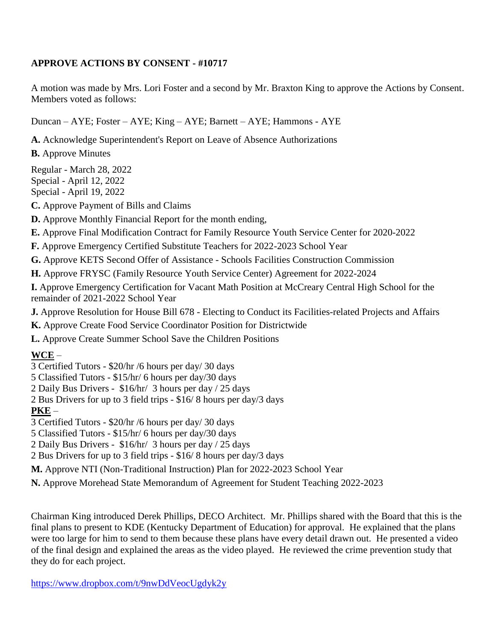## **APPROVE ACTIONS BY CONSENT - #10717**

A motion was made by Mrs. Lori Foster and a second by Mr. Braxton King to approve the Actions by Consent. Members voted as follows:

Duncan – AYE; Foster – AYE; King – AYE; Barnett – AYE; Hammons - AYE

**A.** Acknowledge Superintendent's Report on Leave of Absence Authorizations

**B.** Approve Minutes

Regular - March 28, 2022 Special - April 12, 2022 Special - April 19, 2022

**C.** Approve Payment of Bills and Claims

**D.** Approve Monthly Financial Report for the month ending,

**E.** Approve Final Modification Contract for Family Resource Youth Service Center for 2020-2022

**F.** Approve Emergency Certified Substitute Teachers for 2022-2023 School Year

**G.** Approve KETS Second Offer of Assistance - Schools Facilities Construction Commission

**H.** Approve FRYSC (Family Resource Youth Service Center) Agreement for 2022-2024

**I.** Approve Emergency Certification for Vacant Math Position at McCreary Central High School for the remainder of 2021-2022 School Year

**J.** Approve Resolution for House Bill 678 - Electing to Conduct its Facilities-related Projects and Affairs

**K.** Approve Create Food Service Coordinator Position for Districtwide

**L.** Approve Create Summer School Save the Children Positions

# **WCE** –

3 Certified Tutors - \$20/hr /6 hours per day/ 30 days

5 Classified Tutors - \$15/hr/ 6 hours per day/30 days

2 Daily Bus Drivers - \$16/hr/ 3 hours per day / 25 days

2 Bus Drivers for up to 3 field trips - \$16/ 8 hours per day/3 days

**PKE** –

3 Certified Tutors - \$20/hr /6 hours per day/ 30 days

5 Classified Tutors - \$15/hr/ 6 hours per day/30 days

2 Daily Bus Drivers - \$16/hr/ 3 hours per day / 25 days

2 Bus Drivers for up to 3 field trips - \$16/ 8 hours per day/3 days

**M.** Approve NTI (Non-Traditional Instruction) Plan for 2022-2023 School Year

**N.** Approve Morehead State Memorandum of Agreement for Student Teaching 2022-2023

Chairman King introduced Derek Phillips, DECO Architect. Mr. Phillips shared with the Board that this is the final plans to present to KDE (Kentucky Department of Education) for approval. He explained that the plans were too large for him to send to them because these plans have every detail drawn out. He presented a video of the final design and explained the areas as the video played. He reviewed the crime prevention study that they do for each project.

<https://www.dropbox.com/t/9nwDdVeocUgdyk2y>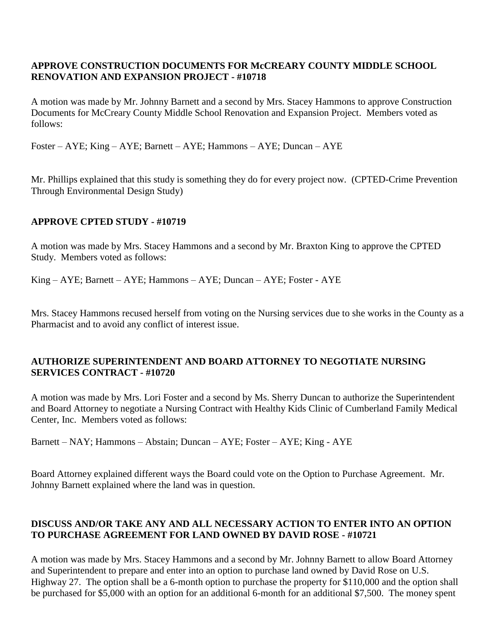#### **APPROVE CONSTRUCTION DOCUMENTS FOR McCREARY COUNTY MIDDLE SCHOOL RENOVATION AND EXPANSION PROJECT - #10718**

A motion was made by Mr. Johnny Barnett and a second by Mrs. Stacey Hammons to approve Construction Documents for McCreary County Middle School Renovation and Expansion Project. Members voted as follows:

Foster – AYE; King – AYE; Barnett – AYE; Hammons – AYE; Duncan – AYE

Mr. Phillips explained that this study is something they do for every project now. (CPTED-Crime Prevention Through Environmental Design Study)

#### **APPROVE CPTED STUDY - #10719**

A motion was made by Mrs. Stacey Hammons and a second by Mr. Braxton King to approve the CPTED Study. Members voted as follows:

King – AYE; Barnett – AYE; Hammons – AYE; Duncan – AYE; Foster - AYE

Mrs. Stacey Hammons recused herself from voting on the Nursing services due to she works in the County as a Pharmacist and to avoid any conflict of interest issue.

#### **AUTHORIZE SUPERINTENDENT AND BOARD ATTORNEY TO NEGOTIATE NURSING SERVICES CONTRACT - #10720**

A motion was made by Mrs. Lori Foster and a second by Ms. Sherry Duncan to authorize the Superintendent and Board Attorney to negotiate a Nursing Contract with Healthy Kids Clinic of Cumberland Family Medical Center, Inc. Members voted as follows:

Barnett – NAY; Hammons – Abstain; Duncan – AYE; Foster – AYE; King - AYE

Board Attorney explained different ways the Board could vote on the Option to Purchase Agreement. Mr. Johnny Barnett explained where the land was in question.

## **DISCUSS AND/OR TAKE ANY AND ALL NECESSARY ACTION TO ENTER INTO AN OPTION TO PURCHASE AGREEMENT FOR LAND OWNED BY DAVID ROSE - #10721**

A motion was made by Mrs. Stacey Hammons and a second by Mr. Johnny Barnett to allow Board Attorney and Superintendent to prepare and enter into an option to purchase land owned by David Rose on U.S. Highway 27. The option shall be a 6-month option to purchase the property for \$110,000 and the option shall be purchased for \$5,000 with an option for an additional 6-month for an additional \$7,500. The money spent